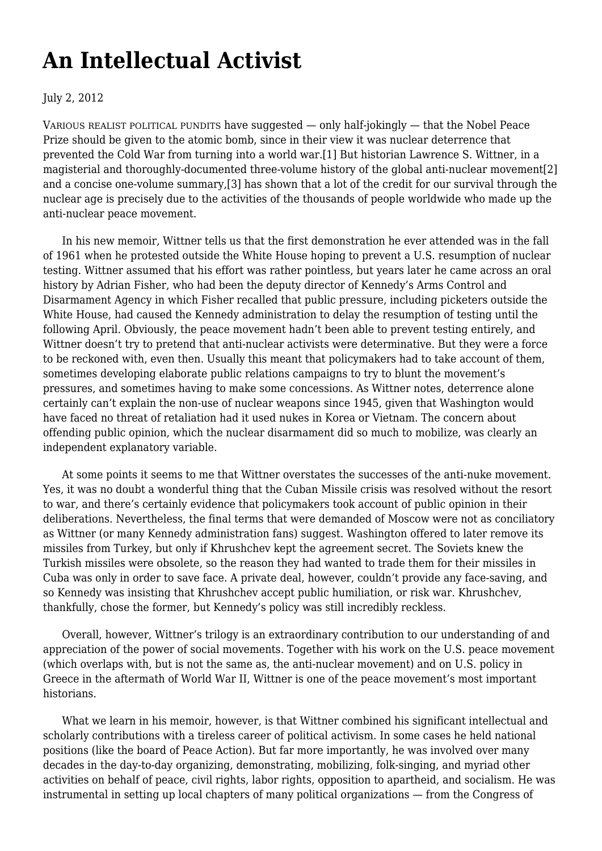## **[An Intellectual Activist](https://newpol.org/review/intellectual-activist/)**

## July 2, 2012

VARIOUS REALIST POLITICAL PUNDITS have suggested — only half-jokingly — that the Nobel Peace Prize should be given to the atomic bomb, since in their view it was nuclear deterrence that prevented the Cold War from turning into a world war.[1] But historian Lawrence S. Wittner, in a magisterial and thoroughly-documented three-volume history of the global anti-nuclear movement[2] and a concise one-volume summary,[3] has shown that a lot of the credit for our survival through the nuclear age is precisely due to the activities of the thousands of people worldwide who made up the anti-nuclear peace movement.

 In his new memoir, Wittner tells us that the first demonstration he ever attended was in the fall of 1961 when he protested outside the White House hoping to prevent a U.S. resumption of nuclear testing. Wittner assumed that his effort was rather pointless, but years later he came across an oral history by Adrian Fisher, who had been the deputy director of Kennedy's Arms Control and Disarmament Agency in which Fisher recalled that public pressure, including picketers outside the White House, had caused the Kennedy administration to delay the resumption of testing until the following April. Obviously, the peace movement hadn't been able to prevent testing entirely, and Wittner doesn't try to pretend that anti-nuclear activists were determinative. But they were a force to be reckoned with, even then. Usually this meant that policymakers had to take account of them, sometimes developing elaborate public relations campaigns to try to blunt the movement's pressures, and sometimes having to make some concessions. As Wittner notes, deterrence alone certainly can't explain the non-use of nuclear weapons since 1945, given that Washington would have faced no threat of retaliation had it used nukes in Korea or Vietnam. The concern about offending public opinion, which the nuclear disarmament did so much to mobilize, was clearly an independent explanatory variable.

 At some points it seems to me that Wittner overstates the successes of the anti-nuke movement. Yes, it was no doubt a wonderful thing that the Cuban Missile crisis was resolved without the resort to war, and there's certainly evidence that policymakers took account of public opinion in their deliberations. Nevertheless, the final terms that were demanded of Moscow were not as conciliatory as Wittner (or many Kennedy administration fans) suggest. Washington offered to later remove its missiles from Turkey, but only if Khrushchev kept the agreement secret. The Soviets knew the Turkish missiles were obsolete, so the reason they had wanted to trade them for their missiles in Cuba was only in order to save face. A private deal, however, couldn't provide any face-saving, and so Kennedy was insisting that Khrushchev accept public humiliation, or risk war. Khrushchev, thankfully, chose the former, but Kennedy's policy was still incredibly reckless.

 Overall, however, Wittner's trilogy is an extraordinary contribution to our understanding of and appreciation of the power of social movements. Together with his work on the U.S. peace movement (which overlaps with, but is not the same as, the anti-nuclear movement) and on U.S. policy in Greece in the aftermath of World War II, Wittner is one of the peace movement's most important historians.

 What we learn in his memoir, however, is that Wittner combined his significant intellectual and scholarly contributions with a tireless career of political activism. In some cases he held national positions (like the board of Peace Action). But far more importantly, he was involved over many decades in the day-to-day organizing, demonstrating, mobilizing, folk-singing, and myriad other activities on behalf of peace, civil rights, labor rights, opposition to apartheid, and socialism. He was instrumental in setting up local chapters of many political organizations — from the Congress of